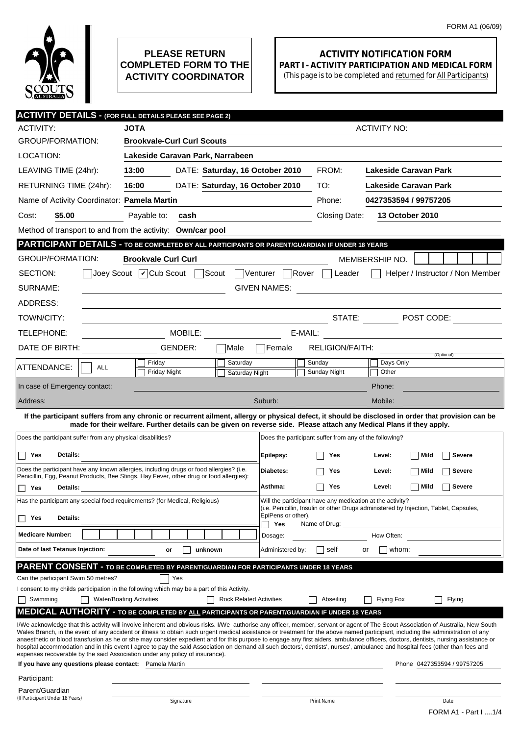

## **PLEASE RETURN COMPLETED FORM TO THE ACTIVITY COORDINATOR**

## **ACTIVITY NOTIFICATION FORM PART I - ACTIVITY PARTICIPATION AND MEDICAL FORM**

(This page is to be completed and returned for All Participants)

|                                                                                                                                                                                                                                                                                                                                                                                                                                                                                                                                                                                                                                                                                                                                                                                                                                                                                                                                       | <b>ACTIVITY DETAILS - (FOR FULL DETAILS PLEASE SEE PAGE 2)</b>                                 |                                                           |                                                                                       |  |  |  |
|---------------------------------------------------------------------------------------------------------------------------------------------------------------------------------------------------------------------------------------------------------------------------------------------------------------------------------------------------------------------------------------------------------------------------------------------------------------------------------------------------------------------------------------------------------------------------------------------------------------------------------------------------------------------------------------------------------------------------------------------------------------------------------------------------------------------------------------------------------------------------------------------------------------------------------------|------------------------------------------------------------------------------------------------|-----------------------------------------------------------|---------------------------------------------------------------------------------------|--|--|--|
| ACTIVITY:                                                                                                                                                                                                                                                                                                                                                                                                                                                                                                                                                                                                                                                                                                                                                                                                                                                                                                                             | <b>JOTA</b>                                                                                    |                                                           | <b>ACTIVITY NO:</b>                                                                   |  |  |  |
| <b>GROUP/FORMATION:</b>                                                                                                                                                                                                                                                                                                                                                                                                                                                                                                                                                                                                                                                                                                                                                                                                                                                                                                               | <b>Brookvale-Curl Curl Scouts</b>                                                              |                                                           |                                                                                       |  |  |  |
| LOCATION:                                                                                                                                                                                                                                                                                                                                                                                                                                                                                                                                                                                                                                                                                                                                                                                                                                                                                                                             | Lakeside Caravan Park, Narrabeen                                                               |                                                           |                                                                                       |  |  |  |
| LEAVING TIME (24hr):                                                                                                                                                                                                                                                                                                                                                                                                                                                                                                                                                                                                                                                                                                                                                                                                                                                                                                                  | 13:00<br>DATE: Saturday, 16 October 2010                                                       | FROM:                                                     | Lakeside Caravan Park                                                                 |  |  |  |
| RETURNING TIME (24hr):                                                                                                                                                                                                                                                                                                                                                                                                                                                                                                                                                                                                                                                                                                                                                                                                                                                                                                                | DATE: Saturday, 16 October 2010<br>16:00                                                       | TO:                                                       | Lakeside Caravan Park                                                                 |  |  |  |
| Name of Activity Coordinator: Pamela Martin                                                                                                                                                                                                                                                                                                                                                                                                                                                                                                                                                                                                                                                                                                                                                                                                                                                                                           |                                                                                                | Phone:                                                    | 0427353594 / 99757205                                                                 |  |  |  |
| Cost:<br>\$5.00                                                                                                                                                                                                                                                                                                                                                                                                                                                                                                                                                                                                                                                                                                                                                                                                                                                                                                                       | Payable to:<br>cash                                                                            | Closing Date:                                             | <b>13 October 2010</b>                                                                |  |  |  |
| Method of transport to and from the activity: Own/car pool                                                                                                                                                                                                                                                                                                                                                                                                                                                                                                                                                                                                                                                                                                                                                                                                                                                                            |                                                                                                |                                                           |                                                                                       |  |  |  |
|                                                                                                                                                                                                                                                                                                                                                                                                                                                                                                                                                                                                                                                                                                                                                                                                                                                                                                                                       | PARTICIPANT DETAILS - TO BE COMPLETED BY ALL PARTICIPANTS OR PARENT/GUARDIAN IF UNDER 18 YEARS |                                                           |                                                                                       |  |  |  |
| <b>GROUP/FORMATION:</b>                                                                                                                                                                                                                                                                                                                                                                                                                                                                                                                                                                                                                                                                                                                                                                                                                                                                                                               | <b>Brookvale Curl Curl</b>                                                                     |                                                           | MEMBERSHIP NO.                                                                        |  |  |  |
| SECTION:                                                                                                                                                                                                                                                                                                                                                                                                                                                                                                                                                                                                                                                                                                                                                                                                                                                                                                                              | Joey Scout   Cub Scout  <br>Scout                                                              | Rover<br>Venturer<br>Leader                               | Helper / Instructor / Non Member                                                      |  |  |  |
| SURNAME:<br><b>GIVEN NAMES:</b><br><u> 1989 - John Stein, Amerikaansk politiker (</u>                                                                                                                                                                                                                                                                                                                                                                                                                                                                                                                                                                                                                                                                                                                                                                                                                                                 |                                                                                                |                                                           |                                                                                       |  |  |  |
| ADDRESS:                                                                                                                                                                                                                                                                                                                                                                                                                                                                                                                                                                                                                                                                                                                                                                                                                                                                                                                              |                                                                                                |                                                           |                                                                                       |  |  |  |
| TOWN/CITY:                                                                                                                                                                                                                                                                                                                                                                                                                                                                                                                                                                                                                                                                                                                                                                                                                                                                                                                            |                                                                                                |                                                           | STATE: DOST CODE:                                                                     |  |  |  |
| TELEPHONE:                                                                                                                                                                                                                                                                                                                                                                                                                                                                                                                                                                                                                                                                                                                                                                                                                                                                                                                            | MOBILE:                                                                                        | E-MAIL:                                                   | <u> 1980 - Jan Barbara Barbara, masa ka</u>                                           |  |  |  |
| DATE OF BIRTH:                                                                                                                                                                                                                                                                                                                                                                                                                                                                                                                                                                                                                                                                                                                                                                                                                                                                                                                        | GENDER:<br>Male                                                                                | <b>RELIGION/FAITH:</b><br>Female                          |                                                                                       |  |  |  |
| ATTENDANCE:<br><b>ALL</b>                                                                                                                                                                                                                                                                                                                                                                                                                                                                                                                                                                                                                                                                                                                                                                                                                                                                                                             | Saturday<br>Friday                                                                             | Sunday                                                    | (Optional)<br>Days Only                                                               |  |  |  |
|                                                                                                                                                                                                                                                                                                                                                                                                                                                                                                                                                                                                                                                                                                                                                                                                                                                                                                                                       | Friday Night<br>Saturday Night                                                                 | Sunday Night                                              | Other                                                                                 |  |  |  |
| In case of Emergency contact:                                                                                                                                                                                                                                                                                                                                                                                                                                                                                                                                                                                                                                                                                                                                                                                                                                                                                                         |                                                                                                |                                                           | Phone:                                                                                |  |  |  |
| Address:                                                                                                                                                                                                                                                                                                                                                                                                                                                                                                                                                                                                                                                                                                                                                                                                                                                                                                                              |                                                                                                | Suburb:                                                   | Mobile:                                                                               |  |  |  |
| If the participant suffers from any chronic or recurrent ailment, allergy or physical defect, it should be disclosed in order that provision can be<br>made for their welfare. Further details can be given on reverse side. Please attach any Medical Plans if they apply.                                                                                                                                                                                                                                                                                                                                                                                                                                                                                                                                                                                                                                                           |                                                                                                |                                                           |                                                                                       |  |  |  |
| Does the participant suffer from any physical disabilities?                                                                                                                                                                                                                                                                                                                                                                                                                                                                                                                                                                                                                                                                                                                                                                                                                                                                           |                                                                                                | Does the participant suffer from any of the following?    |                                                                                       |  |  |  |
| Details:<br>Yes                                                                                                                                                                                                                                                                                                                                                                                                                                                                                                                                                                                                                                                                                                                                                                                                                                                                                                                       |                                                                                                |                                                           |                                                                                       |  |  |  |
|                                                                                                                                                                                                                                                                                                                                                                                                                                                                                                                                                                                                                                                                                                                                                                                                                                                                                                                                       | Does the participant have any known allergies, including drugs or food allergies? (i.e.        | Epilepsy:<br>Yes                                          | Level:<br>Mild<br><b>Severe</b>                                                       |  |  |  |
|                                                                                                                                                                                                                                                                                                                                                                                                                                                                                                                                                                                                                                                                                                                                                                                                                                                                                                                                       | Penicillin, Egg, Peanut Products, Bee Stings, Hay Fever, other drug or food allergies):        | <b>Diabetes:</b><br>Yes                                   | Level:<br>Mild<br><b>Severe</b>                                                       |  |  |  |
| Yes<br><b>Details:</b><br>П                                                                                                                                                                                                                                                                                                                                                                                                                                                                                                                                                                                                                                                                                                                                                                                                                                                                                                           |                                                                                                | Asthma:<br>Yes                                            | <b>Severe</b><br>Level:<br>Mild                                                       |  |  |  |
| Has the participant any special food requirements? (for Medical, Religious)                                                                                                                                                                                                                                                                                                                                                                                                                                                                                                                                                                                                                                                                                                                                                                                                                                                           |                                                                                                | Will the participant have any medication at the activity? | (i.e. Penicillin, Insulin or other Drugs administered by Injection, Tablet, Capsules, |  |  |  |
| Details:<br>Yes<br>Ш                                                                                                                                                                                                                                                                                                                                                                                                                                                                                                                                                                                                                                                                                                                                                                                                                                                                                                                  |                                                                                                | EpiPens or other).<br>Yes<br>Name of Drug:                |                                                                                       |  |  |  |
| <b>Medicare Number:</b>                                                                                                                                                                                                                                                                                                                                                                                                                                                                                                                                                                                                                                                                                                                                                                                                                                                                                                               |                                                                                                | Dosage:                                                   | How Often:                                                                            |  |  |  |
| Date of last Tetanus Injection:                                                                                                                                                                                                                                                                                                                                                                                                                                                                                                                                                                                                                                                                                                                                                                                                                                                                                                       | unknown<br>or                                                                                  | self<br>Administered by:                                  | whom:<br>or                                                                           |  |  |  |
|                                                                                                                                                                                                                                                                                                                                                                                                                                                                                                                                                                                                                                                                                                                                                                                                                                                                                                                                       | <b>PARENT CONSENT - TO BE COMPLETED BY PARENT/GUARDIAN FOR PARTICIPANTS UNDER 18 YEARS</b>     |                                                           |                                                                                       |  |  |  |
| Can the participant Swim 50 metres?                                                                                                                                                                                                                                                                                                                                                                                                                                                                                                                                                                                                                                                                                                                                                                                                                                                                                                   | Yes                                                                                            |                                                           |                                                                                       |  |  |  |
|                                                                                                                                                                                                                                                                                                                                                                                                                                                                                                                                                                                                                                                                                                                                                                                                                                                                                                                                       | I consent to my childs participation in the following which may be a part of this Activity.    |                                                           |                                                                                       |  |  |  |
| Swimming                                                                                                                                                                                                                                                                                                                                                                                                                                                                                                                                                                                                                                                                                                                                                                                                                                                                                                                              | <b>Water/Boating Activities</b><br><b>Rock Related Activities</b>                              | Abseiling                                                 | Flying<br>Flying Fox                                                                  |  |  |  |
| <b>MEDICAL AUTHORITY - TO BE COMPLETED BY ALL PARTICIPANTS OR PARENT/GUARDIAN IF UNDER 18 YEARS</b><br>I/We acknowledge that this activity will involve inherent and obvious risks. I/We authorise any officer, member, servant or agent of The Scout Association of Australia, New South<br>Wales Branch, in the event of any accident or illness to obtain such urgent medical assistance or treatment for the above named participant, including the administration of any<br>anaesthetic or blood transfusion as he or she may consider expedient and for this purpose to engage any first aiders, ambulance officers, doctors, dentists, nursing assistance or<br>hospital accommodation and in this event I agree to pay the said Association on demand all such doctors', dentists', nurses', ambulance and hospital fees (other than fees and<br>expenses recoverable by the said Association under any policy of insurance). |                                                                                                |                                                           |                                                                                       |  |  |  |
| If you have any questions please contact: Pamela Martin                                                                                                                                                                                                                                                                                                                                                                                                                                                                                                                                                                                                                                                                                                                                                                                                                                                                               |                                                                                                |                                                           | Phone 0427353594 / 99757205                                                           |  |  |  |
| Participant:                                                                                                                                                                                                                                                                                                                                                                                                                                                                                                                                                                                                                                                                                                                                                                                                                                                                                                                          |                                                                                                |                                                           |                                                                                       |  |  |  |
| Parent/Guardian                                                                                                                                                                                                                                                                                                                                                                                                                                                                                                                                                                                                                                                                                                                                                                                                                                                                                                                       |                                                                                                |                                                           |                                                                                       |  |  |  |
| (If Participant Under 18 Years)                                                                                                                                                                                                                                                                                                                                                                                                                                                                                                                                                                                                                                                                                                                                                                                                                                                                                                       | Signature                                                                                      | Print Name                                                | Date<br>FORM A1 - Part I  1/4                                                         |  |  |  |